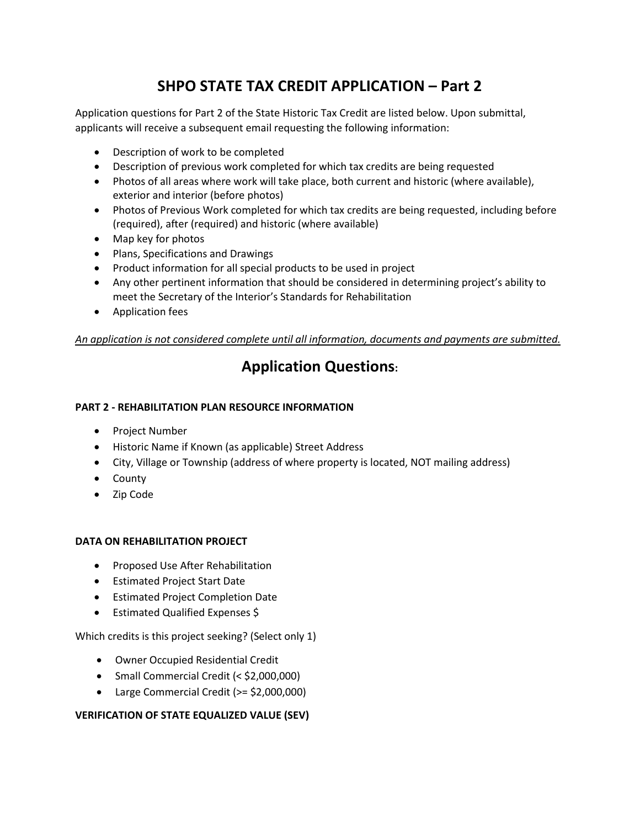# **SHPO STATE TAX CREDIT APPLICATION – Part 2**

Application questions for Part 2 of the State Historic Tax Credit are listed below. Upon submittal, applicants will receive a subsequent email requesting the following information:

- Description of work to be completed
- Description of previous work completed for which tax credits are being requested
- Photos of all areas where work will take place, both current and historic (where available), exterior and interior (before photos)
- Photos of Previous Work completed for which tax credits are being requested, including before (required), after (required) and historic (where available)
- Map key for photos
- Plans, Specifications and Drawings
- Product information for all special products to be used in project
- Any other pertinent information that should be considered in determining project's ability to meet the Secretary of the Interior's Standards for Rehabilitation
- Application fees

### *An application is not considered complete until all information, documents and payments are submitted.*

## **Application Questions:**

### **PART 2 - REHABILITATION PLAN RESOURCE INFORMATION**

- Project Number
- Historic Name if Known (as applicable) Street Address
- City, Village or Township (address of where property is located, NOT mailing address)
- County
- Zip Code

## **DATA ON REHABILITATION PROJECT**

- Proposed Use After Rehabilitation
- Estimated Project Start Date
- Estimated Project Completion Date
- Estimated Qualified Expenses \$

Which credits is this project seeking? (Select only 1)

- Owner Occupied Residential Credit
- Small Commercial Credit (< \$2,000,000)
- Large Commercial Credit (>= \$2,000,000)

## **VERIFICATION OF STATE EQUALIZED VALUE (SEV)**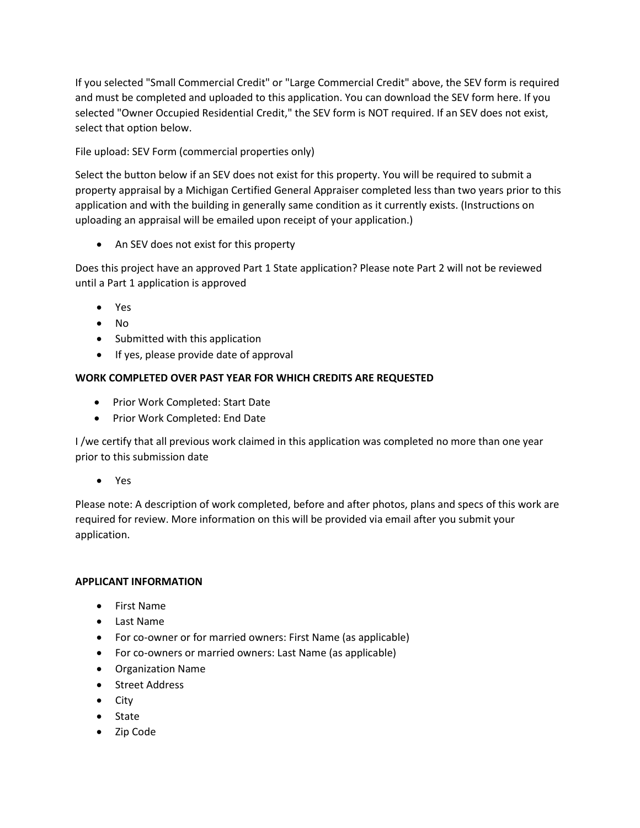If you selected "Small Commercial Credit" or "Large Commercial Credit" above, the SEV form is required and must be completed and uploaded to this application. You can download the SEV form here. If you selected "Owner Occupied Residential Credit," the SEV form is NOT required. If an SEV does not exist, select that option below.

File upload: SEV Form (commercial properties only)

Select the button below if an SEV does not exist for this property. You will be required to submit a property appraisal by a Michigan Certified General Appraiser completed less than two years prior to this application and with the building in generally same condition as it currently exists. (Instructions on uploading an appraisal will be emailed upon receipt of your application.)

• An SEV does not exist for this property

Does this project have an approved Part 1 State application? Please note Part 2 will not be reviewed until a Part 1 application is approved

- Yes
- No
- Submitted with this application
- If yes, please provide date of approval

## **WORK COMPLETED OVER PAST YEAR FOR WHICH CREDITS ARE REQUESTED**

- Prior Work Completed: Start Date
- Prior Work Completed: End Date

I /we certify that all previous work claimed in this application was completed no more than one year prior to this submission date

• Yes

Please note: A description of work completed, before and after photos, plans and specs of this work are required for review. More information on this will be provided via email after you submit your application.

## **APPLICANT INFORMATION**

- First Name
- Last Name
- For co-owner or for married owners: First Name (as applicable)
- For co-owners or married owners: Last Name (as applicable)
- Organization Name
- Street Address
- City
- State
- Zip Code